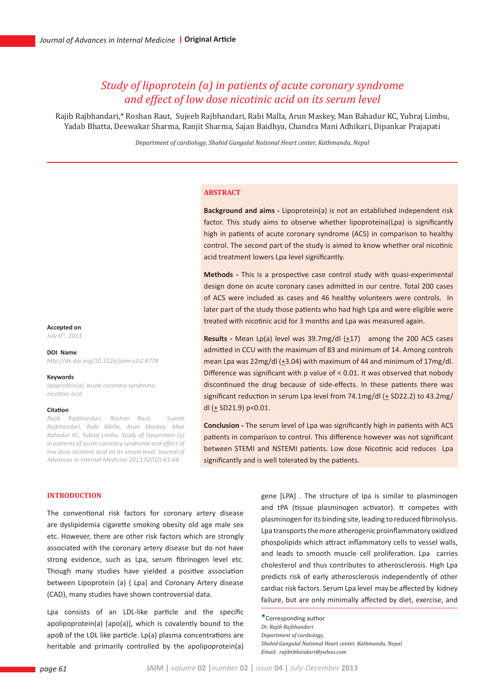# *Study of lipoprotein (a) in patients of acute coronary syndrome and effect of low dose nicotinic acid on its serum level*

Rajib Rajbhandari,\* Roshan Raut, Sujeeb Rajbhandari, Rabi Malla, Arun Maskey, Man Bahadur KC, Yubraj Limbu, Yadab Bhatta, Deewakar Sharma, Ranjit Sharma, Sajan Baidhya, Chandra Mani Adhikari, Dipankar Prajapati

*Department of cardiology, Shahid Gangalal National Heart center, Kathmandu, Nepal*

### **ABSTRACT**

**Background and aims -** Lipoprotein(a) is not an established independent risk factor. This study aims to observe whether lipoproteina(Lpa) is significantly high in patients of acute coronary syndrome (ACS) in comparison to healthy control. The second part of the study is aimed to know whether oral nicotinic acid treatment lowers Lpa level significantly.

**Methods -** This is a prospective case control study with quasi-experimental design done on acute coronary cases admitted in our centre. Total 200 cases of ACS were included as cases and 46 healthy volunteers were controls. In later part of the study those patients who had high Lpa and were eligible were treated with nicotinic acid for 3 months and Lpa was measured again.

**Results -** Mean Lp(a) level was 39.7mg/dl ( $\pm$ 17) among the 200 ACS cases admitted in CCU with the maximum of 83 and minimum of 14. Among controls mean Lpa was 22mg/dl (+3.04) with maximum of 44 and minimum of 17mg/dl. Difference was significant with p value of < 0.01. It was observed that nobody discontinued the drug because of side-effects. In these patients there was significant reduction in serum Lpa level from 74.1mg/dl ( $\pm$  SD22.2) to 43.2mg/ dl  $(+$  SD21.9) p<0.01.

**Conclusion -** The serum level of Lpa was significantly high in patients with ACS patients in comparison to control. This difference however was not significant between STEMI and NSTEMI patients. Low dose Nicotinic acid reduces Lpa significantly and is well tolerated by the patients.

#### **Accepted on**

*July 6th, 2013*

#### **DOI Name**

*http://dx.doi.org/10.3126/jaim.v2i2.8778*

#### **Keywords**

*lipoprotein(a), acute coronary syndrome, nicotinic acid*

#### **Citation**

*Rajib Rajbhandari, Roshan Raut, Sujeeb Rajbhandari, Rabi Malla, Arun Maskey, Man Bahadur KC, Yubraj Limbu. Study of lipoprotein (a) in patients of acute coronary syndrome and effect of low dose nicotinic acid on its serum level. Journal of Advances in Internal Medicine 2013;02(02):61-64.*

# **INTRODUCTION**

The conventional risk factors for coronary artery disease are dyslipidemia cigarette smoking obesity old age male sex etc. However, there are other risk factors which are strongly associated with the coronary artery disease but do not have strong evidence, such as Lpa, serum fibrinogen level etc. Though many studies have yielded a positive association between Lipoprotein (a) { Lpa} and Coronary Artery disease (CAD), many studies have shown controversial data.

Lpa consists of an LDL-like particle and the specific apolipoprotein(a) [apo(a)], which is covalently bound to the apoB of the LDL like particle. Lp(a) plasma concentrations are heritable and primarily controlled by the apolipoprotein(a)

gene [LPA] . The structure of lpa is similar to plasminogen and tPA (tissue plasminogen activator). It competes with plasminogen for its binding site, leading to reduced fibrinolysis. Lpa transports the more atherogenic proinflammatory oxidized phospolipids which attract inflammatory cells to vessel walls, and leads to smooth muscle cell proliferation. Lpa carries cholesterol and thus contributes to atherosclerosis. High Lpa predicts risk of early atherosclerosis independently of other cardiac risk factors. Serum Lpa level may be affected by kidney failure, but are only minimally affected by diet, exercise, and

\*Corresponding author *Dr. Rajib Rajbhandari Department of cardiology, Shahid Gangalal National Heart center, Kathmandu, Nepal Email: rajibrbhandari@yahoo.com*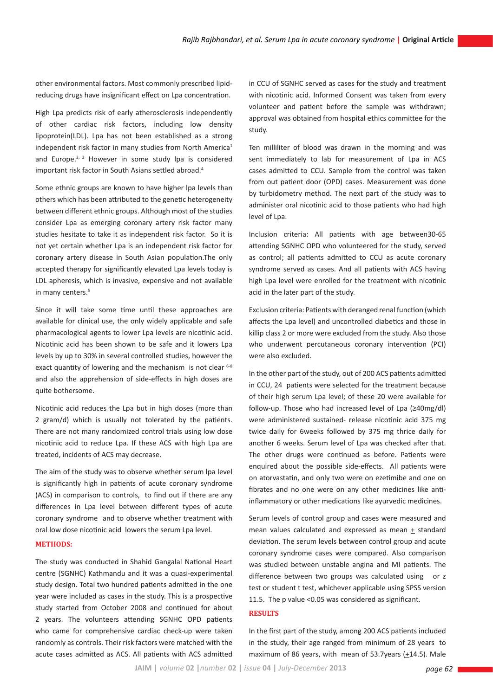other environmental factors. Most commonly prescribed lipidreducing drugs have insignificant effect on Lpa concentration.

High Lpa predicts risk of early atherosclerosis independently of other cardiac risk factors, including low density lipoprotein(LDL). Lpa has not been established as a strong independent risk factor in many studies from North America<sup>1</sup> and Europe.<sup>2, 3</sup> However in some study lpa is considered important risk factor in South Asians settled abroad.4

Some ethnic groups are known to have higher lpa levels than others which has been attributed to the genetic heterogeneity between different ethnic groups. Although most of the studies consider Lpa as emerging coronary artery risk factor many studies hesitate to take it as independent risk factor. So it is not yet certain whether Lpa is an independent risk factor for coronary artery disease in South Asian population.The only accepted therapy for significantly elevated Lpa levels today is LDL apheresis, which is invasive, expensive and not available in many centers.<sup>5</sup>

Since it will take some time until these approaches are available for clinical use, the only widely applicable and safe pharmacological agents to lower Lpa levels are nicotinic acid. Nicotinic acid has been shown to be safe and it lowers Lpa levels by up to 30% in several controlled studies, however the exact quantity of lowering and the mechanism is not clear  $6-8$ and also the apprehension of side-effects in high doses are quite bothersome.

Nicotinic acid reduces the Lpa but in high doses (more than 2 gram/d) which is usually not tolerated by the patients. There are not many randomized control trials using low dose nicotinic acid to reduce Lpa. If these ACS with high Lpa are treated, incidents of ACS may decrease.

The aim of the study was to observe whether serum lpa level is significantly high in patients of acute coronary syndrome (ACS) in comparison to controls, to find out if there are any differences in Lpa level between different types of acute coronary syndrome and to observe whether treatment with oral low dose nicotinic acid lowers the serum Lpa level.

## **Methods:**

The study was conducted in Shahid Gangalal National Heart centre (SGNHC) Kathmandu and it was a quasi-experimental study design. Total two hundred patients admitted in the one year were included as cases in the study. This is a prospective study started from October 2008 and continued for about 2 years. The volunteers attending SGNHC OPD patients who came for comprehensive cardiac check-up were taken randomly as controls. Their risk factors were matched with the acute cases admitted as ACS. All patients with ACS admitted

in CCU of SGNHC served as cases for the study and treatment with nicotinic acid. Informed Consent was taken from every volunteer and patient before the sample was withdrawn; approval was obtained from hospital ethics committee for the study.

Ten milliliter of blood was drawn in the morning and was sent immediately to lab for measurement of Lpa in ACS cases admitted to CCU. Sample from the control was taken from out patient door (OPD) cases. Measurement was done by turbidometry method. The next part of the study was to administer oral nicotinic acid to those patients who had high level of Lpa.

Inclusion criteria: All patients with age between30-65 attending SGNHC OPD who volunteered for the study, served as control; all patients admitted to CCU as acute coronary syndrome served as cases. And all patients with ACS having high Lpa level were enrolled for the treatment with nicotinic acid in the later part of the study.

Exclusion criteria: Patients with deranged renal function (which affects the Lpa level) and uncontrolled diabetics and those in killip class 2 or more were excluded from the study. Also those who underwent percutaneous coronary intervention (PCI) were also excluded.

In the other part of the study, out of 200 ACS patients admitted in CCU, 24 patients were selected for the treatment because of their high serum Lpa level; of these 20 were available for follow-up. Those who had increased level of Lpa (≥40mg/dl) were administered sustained- release nicotinic acid 375 mg twice daily for 6weeks followed by 375 mg thrice daily for another 6 weeks. Serum level of Lpa was checked after that. The other drugs were continued as before. Patients were enquired about the possible side-effects. All patients were on atorvastatin, and only two were on ezetimibe and one on fibrates and no one were on any other medicines like antiinflammatory or other medications like ayurvedic medicines.

Serum levels of control group and cases were measured and mean values calculated and expressed as mean  $\pm$  standard deviation. The serum levels between control group and acute coronary syndrome cases were compared. Also comparison was studied between unstable angina and MI patients. The difference between two groups was calculated using or z test or student t test, whichever applicable using SPSS version 11.5. The p value <0.05 was considered as significant.

# **Results**

In the first part of the study, among 200 ACS patients included in the study, their age ranged from minimum of 28 years to maximum of 86 years, with mean of 53.7 years ( $\pm$ 14.5). Male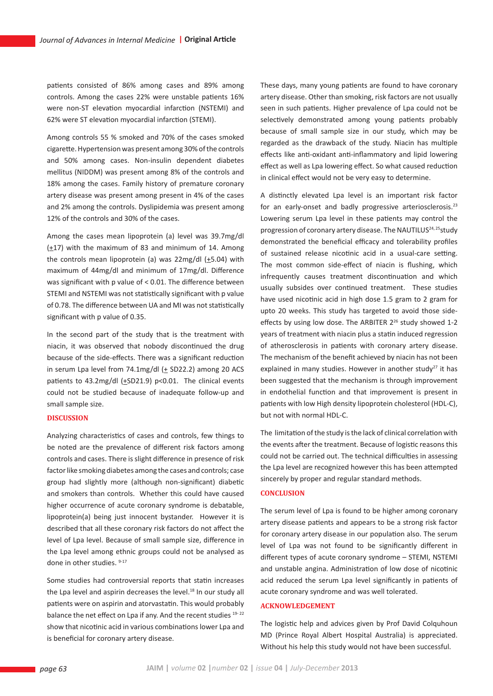patients consisted of 86% among cases and 89% among controls. Among the cases 22% were unstable patients 16% were non-ST elevation myocardial infarction (NSTEMI) and 62% were ST elevation myocardial infarction (STEMI).

Among controls 55 % smoked and 70% of the cases smoked cigarette. Hypertension was present among 30% of the controls and 50% among cases. Non-insulin dependent diabetes mellitus (NIDDM) was present among 8% of the controls and 18% among the cases. Family history of premature coronary artery disease was present among present in 4% of the cases and 2% among the controls. Dyslipidemia was present among 12% of the controls and 30% of the cases.

Among the cases mean lipoprotein (a) level was 39.7mg/dl  $(\pm 17)$  with the maximum of 83 and minimum of 14. Among the controls mean lipoprotein (a) was  $22mg/dl$  ( $\pm$ 5.04) with maximum of 44mg/dl and minimum of 17mg/dl. Difference was significant with p value of < 0.01. The difference between STEMI and NSTEMI was not statistically significant with p value of 0.78. The difference between UA and MI was not statistically significant with p value of 0.35.

In the second part of the study that is the treatment with niacin, it was observed that nobody discontinued the drug because of the side-effects. There was a significant reduction in serum Lpa level from 74.1mg/dl  $(±$  SD22.2) among 20 ACS patients to 43.2mg/dl  $(+SD21.9)$  p<0.01. The clinical events could not be studied because of inadequate follow-up and small sample size.

#### **Discussion**

Analyzing characteristics of cases and controls, few things to be noted are the prevalence of different risk factors among controls and cases. There is slight difference in presence of risk factor like smoking diabetes among the cases and controls; case group had slightly more (although non-significant) diabetic and smokers than controls. Whether this could have caused higher occurrence of acute coronary syndrome is debatable, lipoprotein(a) being just innocent bystander. However it is described that all these coronary risk factors do not affect the level of Lpa level. Because of small sample size, difference in the Lpa level among ethnic groups could not be analysed as done in other studies. 9-17

Some studies had controversial reports that statin increases the Lpa level and aspirin decreases the level.<sup>18</sup> In our study all patients were on aspirin and atorvastatin. This would probably balance the net effect on Lpa if any. And the recent studies 19-22 show that nicotinic acid in various combinations lower Lpa and is beneficial for coronary artery disease.

These days, many young patients are found to have coronary artery disease. Other than smoking, risk factors are not usually seen in such patients. Higher prevalence of Lpa could not be selectively demonstrated among young patients probably because of small sample size in our study, which may be regarded as the drawback of the study. Niacin has multiple effects like anti-oxidant anti-inflammatory and lipid lowering effect as well as Lpa lowering effect. So what caused reduction in clinical effect would not be very easy to determine.

A distinctly elevated Lpa level is an important risk factor for an early-onset and badly progressive arteriosclerosis.<sup>23</sup> Lowering serum Lpa level in these patients may control the progression of coronary artery disease. The NAUTILUS<sup>24, 25</sup>study demonstrated the beneficial efficacy and tolerability profiles of sustained release nicotinic acid in a usual-care setting. The most common side-effect of niacin is flushing, which infrequently causes treatment discontinuation and which usually subsides over continued treatment. These studies have used nicotinic acid in high dose 1.5 gram to 2 gram for upto 20 weeks. This study has targeted to avoid those sideeffects by using low dose. The ARBITER 2<sup>26</sup> study showed 1-2 years of treatment with niacin plus a statin induced regression of atherosclerosis in patients with coronary artery disease. The mechanism of the benefit achieved by niacin has not been explained in many studies. However in another study<sup>27</sup> it has been suggested that the mechanism is through improvement in endothelial function and that improvement is present in patients with low High density lipoprotein cholesterol (HDL-C), but not with normal HDL-C.

The limitation of the study is the lack of clinical correlation with the events after the treatment. Because of logistic reasons this could not be carried out. The technical difficulties in assessing the Lpa level are recognized however this has been attempted sincerely by proper and regular standard methods.

### **Conclusion**

The serum level of Lpa is found to be higher among coronary artery disease patients and appears to be a strong risk factor for coronary artery disease in our population also. The serum level of Lpa was not found to be significantly different in different types of acute coronary syndrome – STEMI, NSTEMI and unstable angina. Administration of low dose of nicotinic acid reduced the serum Lpa level significantly in patients of acute coronary syndrome and was well tolerated.

### **Acknowledgement**

The logistic help and advices given by Prof David Colquhoun MD (Prince Royal Albert Hospital Australia) is appreciated. Without his help this study would not have been successful.